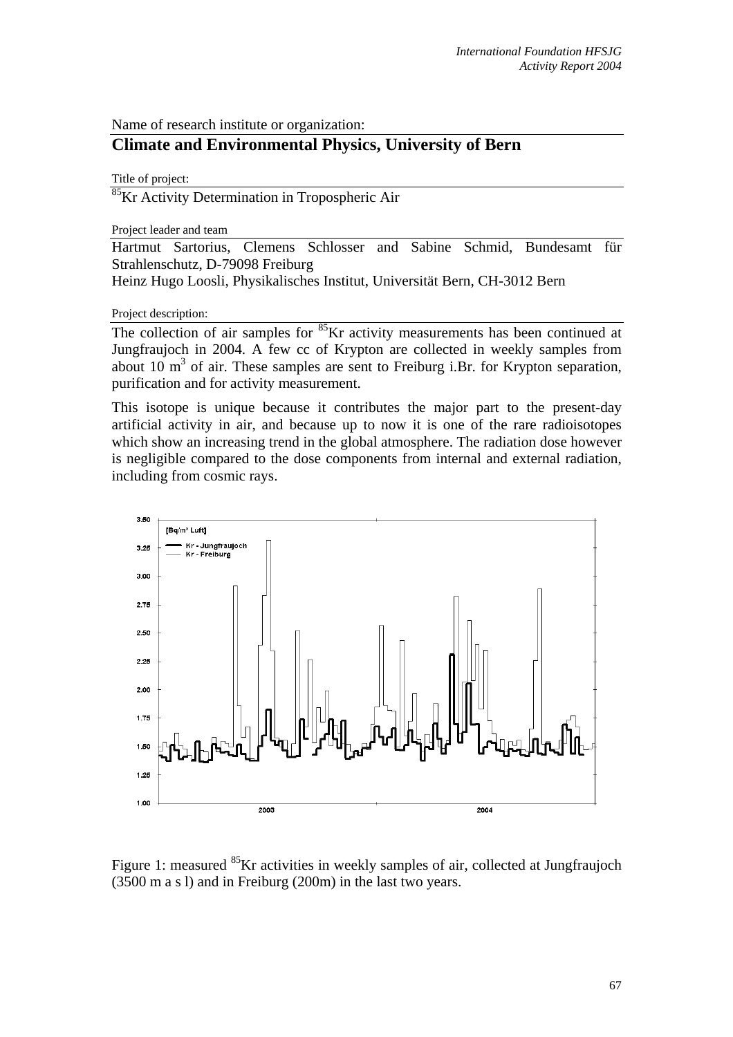Name of research institute or organization:

## **Climate and Environmental Physics, University of Bern**

Title of project:

<sup>85</sup>Kr Activity Determination in Tropospheric Air

Project leader and team

Hartmut Sartorius, Clemens Schlosser and Sabine Schmid, Bundesamt für Strahlenschutz, D-79098 Freiburg

Heinz Hugo Loosli, Physikalisches Institut, Universität Bern, CH-3012 Bern

Project description:

The collection of air samples for <sup>85</sup>Kr activity measurements has been continued at Jungfraujoch in 2004. A few cc of Krypton are collected in weekly samples from about 10  $\mathrm{m}^3$  of air. These samples are sent to Freiburg i.Br. for Krypton separation, purification and for activity measurement.

This isotope is unique because it contributes the major part to the present-day artificial activity in air, and because up to now it is one of the rare radioisotopes which show an increasing trend in the global atmosphere. The radiation dose however is negligible compared to the dose components from internal and external radiation, including from cosmic rays.



Figure 1: measured <sup>85</sup>Kr activities in weekly samples of air, collected at Jungfraujoch (3500 m a s l) and in Freiburg (200m) in the last two years.